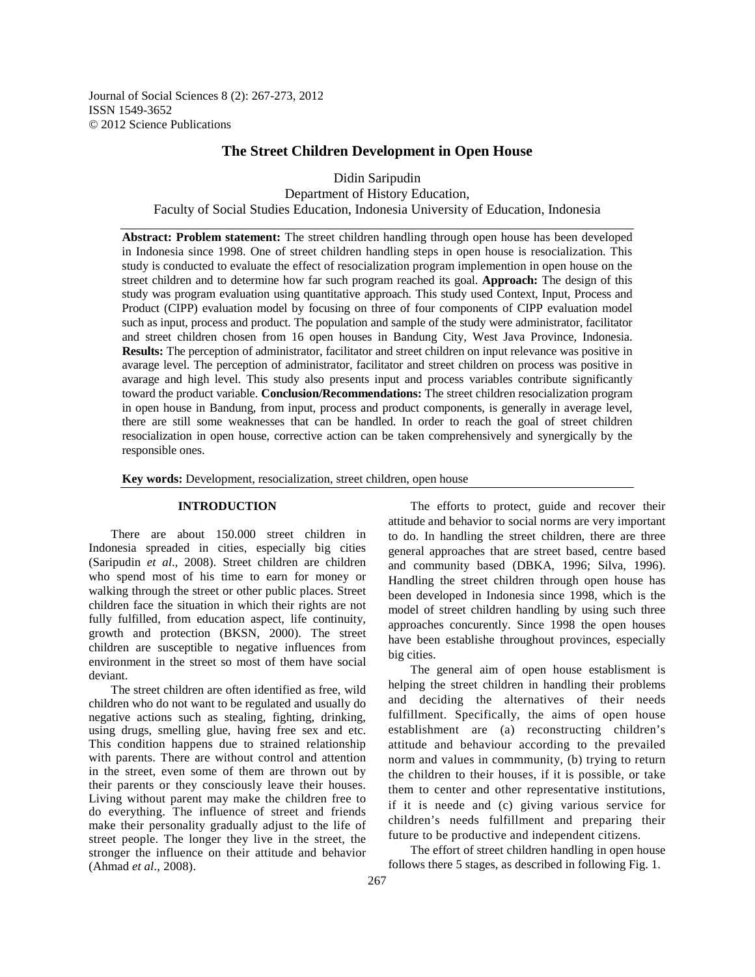Journal of Social Sciences 8 (2): 267-273, 2012 ISSN 1549-3652 © 2012 Science Publications

# **The Street Children Development in Open House**

Didin Saripudin

Department of History Education, Faculty of Social Studies Education, Indonesia University of Education, Indonesia

**Abstract: Problem statement:** The street children handling through open house has been developed in Indonesia since 1998. One of street children handling steps in open house is resocialization. This study is conducted to evaluate the effect of resocialization program implemention in open house on the street children and to determine how far such program reached its goal. **Approach:** The design of this study was program evaluation using quantitative approach. This study used Context, Input, Process and Product (CIPP) evaluation model by focusing on three of four components of CIPP evaluation model such as input, process and product. The population and sample of the study were administrator, facilitator and street children chosen from 16 open houses in Bandung City, West Java Province, Indonesia. **Results:** The perception of administrator, facilitator and street children on input relevance was positive in avarage level. The perception of administrator, facilitator and street children on process was positive in avarage and high level. This study also presents input and process variables contribute significantly toward the product variable. **Conclusion/Recommendations:** The street children resocialization program in open house in Bandung, from input, process and product components, is generally in average level, there are still some weaknesses that can be handled. In order to reach the goal of street children resocialization in open house, corrective action can be taken comprehensively and synergically by the responsible ones.

**Key words:** Development, resocialization, street children, open house

## **INTRODUCTION**

 There are about 150.000 street children in Indonesia spreaded in cities, especially big cities (Saripudin *et al*., 2008). Street children are children who spend most of his time to earn for money or walking through the street or other public places. Street children face the situation in which their rights are not fully fulfilled, from education aspect, life continuity, growth and protection (BKSN, 2000). The street children are susceptible to negative influences from environment in the street so most of them have social deviant.

 The street children are often identified as free, wild children who do not want to be regulated and usually do negative actions such as stealing, fighting, drinking, using drugs, smelling glue, having free sex and etc. This condition happens due to strained relationship with parents. There are without control and attention in the street, even some of them are thrown out by their parents or they consciously leave their houses. Living without parent may make the children free to do everything. The influence of street and friends make their personality gradually adjust to the life of street people. The longer they live in the street, the stronger the influence on their attitude and behavior (Ahmad *et al*., 2008).

 The efforts to protect, guide and recover their attitude and behavior to social norms are very important to do. In handling the street children, there are three general approaches that are street based, centre based and community based (DBKA, 1996; Silva, 1996). Handling the street children through open house has been developed in Indonesia since 1998, which is the model of street children handling by using such three approaches concurently. Since 1998 the open houses have been establishe throughout provinces, especially big cities.

 The general aim of open house establisment is helping the street children in handling their problems and deciding the alternatives of their needs fulfillment. Specifically, the aims of open house establishment are (a) reconstructing children's attitude and behaviour according to the prevailed norm and values in commmunity, (b) trying to return the children to their houses, if it is possible, or take them to center and other representative institutions, if it is neede and (c) giving various service for children's needs fulfillment and preparing their future to be productive and independent citizens.

 The effort of street children handling in open house follows there 5 stages, as described in following Fig. 1.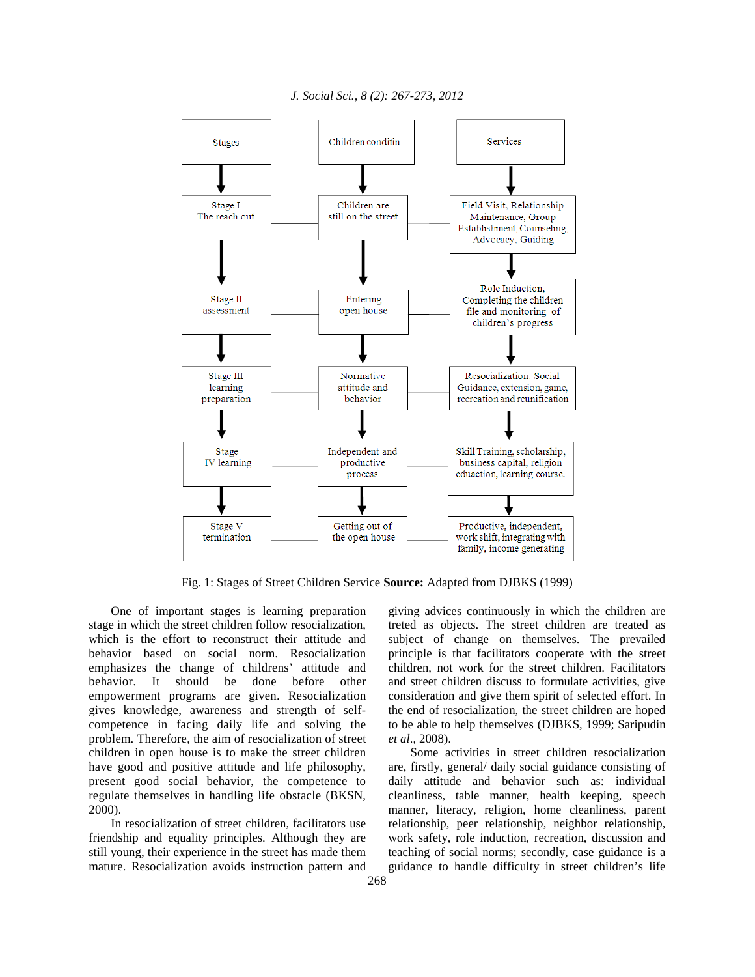

Fig. 1: Stages of Street Children Service **Source:** Adapted from DJBKS (1999)

 One of important stages is learning preparation stage in which the street children follow resocialization, which is the effort to reconstruct their attitude and behavior based on social norm. Resocialization emphasizes the change of childrens' attitude and behavior. It should be done before other empowerment programs are given. Resocialization gives knowledge, awareness and strength of selfcompetence in facing daily life and solving the problem. Therefore, the aim of resocialization of street children in open house is to make the street children have good and positive attitude and life philosophy, present good social behavior, the competence to regulate themselves in handling life obstacle (BKSN, 2000).

 In resocialization of street children, facilitators use friendship and equality principles. Although they are still young, their experience in the street has made them mature. Resocialization avoids instruction pattern and giving advices continuously in which the children are treted as objects. The street children are treated as subject of change on themselves. The prevailed principle is that facilitators cooperate with the street children, not work for the street children. Facilitators and street children discuss to formulate activities, give consideration and give them spirit of selected effort. In the end of resocialization, the street children are hoped to be able to help themselves (DJBKS, 1999; Saripudin *et al*., 2008).

 Some activities in street children resocialization are, firstly, general/ daily social guidance consisting of daily attitude and behavior such as: individual cleanliness, table manner, health keeping, speech manner, literacy, religion, home cleanliness, parent relationship, peer relationship, neighbor relationship, work safety, role induction, recreation, discussion and teaching of social norms; secondly, case guidance is a guidance to handle difficulty in street children's life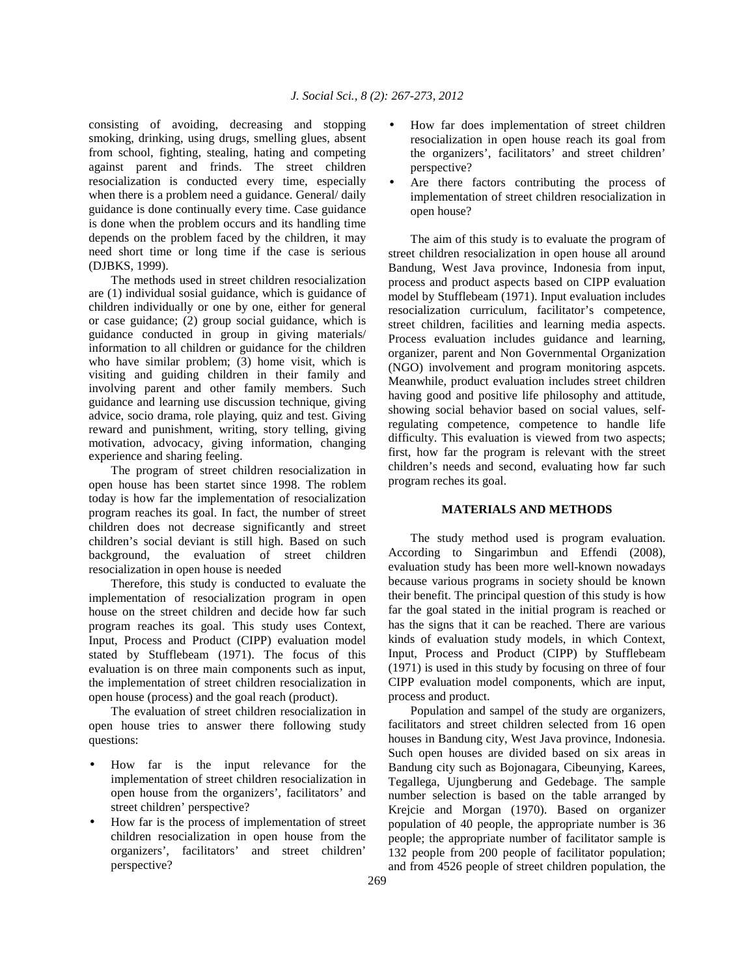consisting of avoiding, decreasing and stopping smoking, drinking, using drugs, smelling glues, absent from school, fighting, stealing, hating and competing against parent and frinds. The street children resocialization is conducted every time, especially when there is a problem need a guidance. General/ daily guidance is done continually every time. Case guidance is done when the problem occurs and its handling time depends on the problem faced by the children, it may need short time or long time if the case is serious (DJBKS, 1999).

 The methods used in street children resocialization are (1) individual sosial guidance, which is guidance of children individually or one by one, either for general or case guidance; (2) group social guidance, which is guidance conducted in group in giving materials/ information to all children or guidance for the children who have similar problem; (3) home visit, which is visiting and guiding children in their family and involving parent and other family members. Such guidance and learning use discussion technique, giving advice, socio drama, role playing, quiz and test. Giving reward and punishment, writing, story telling, giving motivation, advocacy, giving information, changing experience and sharing feeling.

 The program of street children resocialization in open house has been startet since 1998. The roblem today is how far the implementation of resocialization program reaches its goal. In fact, the number of street children does not decrease significantly and street children's social deviant is still high. Based on such background, the evaluation of street children resocialization in open house is needed

 Therefore, this study is conducted to evaluate the implementation of resocialization program in open house on the street children and decide how far such program reaches its goal. This study uses Context, Input, Process and Product (CIPP) evaluation model stated by Stufflebeam (1971). The focus of this evaluation is on three main components such as input, the implementation of street children resocialization in open house (process) and the goal reach (product).

 The evaluation of street children resocialization in open house tries to answer there following study questions:

- How far is the input relevance for the implementation of street children resocialization in open house from the organizers', facilitators' and street children' perspective?
- How far is the process of implementation of street children resocialization in open house from the organizers', facilitators' and street children' perspective?
- How far does implementation of street children resocialization in open house reach its goal from the organizers', facilitators' and street children' perspective?
- Are there factors contributing the process of implementation of street children resocialization in open house?

 The aim of this study is to evaluate the program of street children resocialization in open house all around Bandung, West Java province, Indonesia from input, process and product aspects based on CIPP evaluation model by Stufflebeam (1971). Input evaluation includes resocialization curriculum, facilitator's competence, street children, facilities and learning media aspects. Process evaluation includes guidance and learning, organizer, parent and Non Governmental Organization (NGO) involvement and program monitoring aspcets. Meanwhile, product evaluation includes street children having good and positive life philosophy and attitude, showing social behavior based on social values, selfregulating competence, competence to handle life difficulty. This evaluation is viewed from two aspects; first, how far the program is relevant with the street children's needs and second, evaluating how far such program reches its goal.

## **MATERIALS AND METHODS**

 The study method used is program evaluation. According to Singarimbun and Effendi (2008), evaluation study has been more well-known nowadays because various programs in society should be known their benefit. The principal question of this study is how far the goal stated in the initial program is reached or has the signs that it can be reached. There are various kinds of evaluation study models, in which Context, Input, Process and Product (CIPP) by Stufflebeam (1971) is used in this study by focusing on three of four CIPP evaluation model components, which are input, process and product.

 Population and sampel of the study are organizers, facilitators and street children selected from 16 open houses in Bandung city, West Java province, Indonesia. Such open houses are divided based on six areas in Bandung city such as Bojonagara, Cibeunying, Karees, Tegallega, Ujungberung and Gedebage. The sample number selection is based on the table arranged by Krejcie and Morgan (1970). Based on organizer population of 40 people, the appropriate number is 36 people; the appropriate number of facilitator sample is 132 people from 200 people of facilitator population; and from 4526 people of street children population, the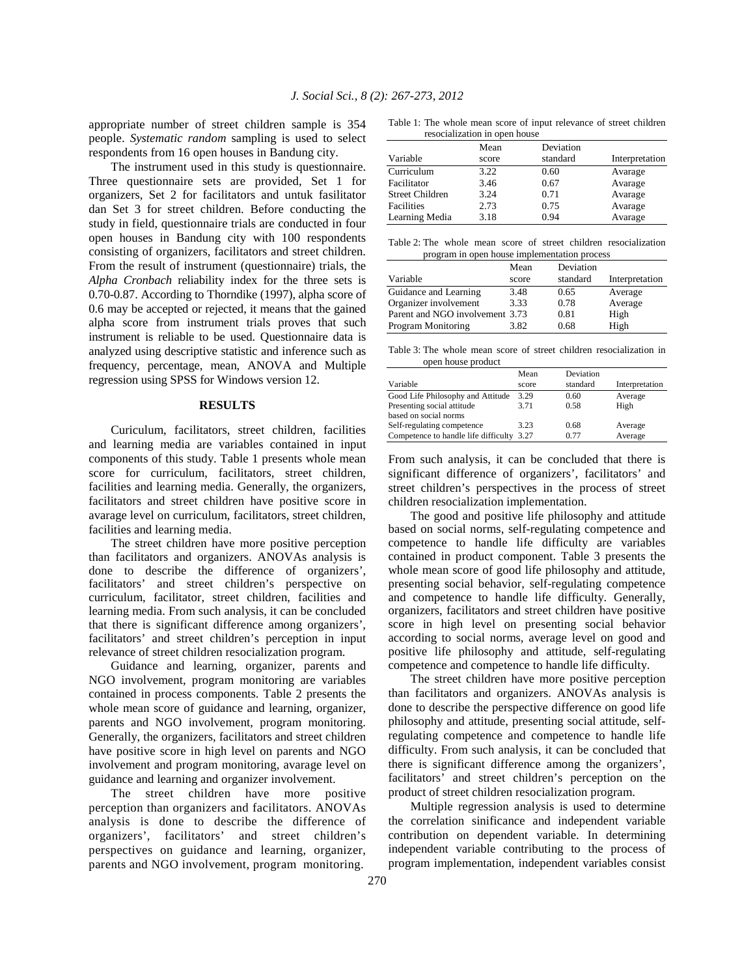appropriate number of street children sample is 354 people. *Systematic random* sampling is used to select respondents from 16 open houses in Bandung city.

 The instrument used in this study is questionnaire. Three questionnaire sets are provided, Set 1 for organizers, Set 2 for facilitators and untuk fasilitator dan Set 3 for street children. Before conducting the study in field, questionnaire trials are conducted in four open houses in Bandung city with 100 respondents consisting of organizers, facilitators and street children. From the result of instrument (questionnaire) trials, the *Alpha Cronbach* reliability index for the three sets is 0.70-0.87. According to Thorndike (1997), alpha score of 0.6 may be accepted or rejected, it means that the gained alpha score from instrument trials proves that such instrument is reliable to be used. Questionnaire data is analyzed using descriptive statistic and inference such as frequency, percentage, mean, ANOVA and Multiple regression using SPSS for Windows version 12.

## **RESULTS**

 Curiculum, facilitators, street children, facilities and learning media are variables contained in input components of this study. Table 1 presents whole mean score for curriculum, facilitators, street children, facilities and learning media. Generally, the organizers, facilitators and street children have positive score in avarage level on curriculum, facilitators, street children, facilities and learning media.

 The street children have more positive perception than facilitators and organizers. ANOVAs analysis is done to describe the difference of organizers', facilitators' and street children's perspective on curriculum, facilitator, street children, facilities and learning media. From such analysis, it can be concluded that there is significant difference among organizers', facilitators' and street children's perception in input relevance of street children resocialization program.

 Guidance and learning, organizer, parents and NGO involvement, program monitoring are variables contained in process components. Table 2 presents the whole mean score of guidance and learning, organizer, parents and NGO involvement, program monitoring. Generally, the organizers, facilitators and street children have positive score in high level on parents and NGO involvement and program monitoring, avarage level on guidance and learning and organizer involvement.

 The street children have more positive perception than organizers and facilitators. ANOVAs analysis is done to describe the difference of organizers', facilitators' and street children's perspectives on guidance and learning, organizer, parents and NGO involvement, program monitoring.

Table 1: The whole mean score of input relevance of street children resocialization in open house

|      | Interpretation                                                                         |
|------|----------------------------------------------------------------------------------------|
|      |                                                                                        |
|      | Avarage                                                                                |
| 0.67 | Avarage                                                                                |
| 0.71 | Avarage                                                                                |
| 0.75 | Avarage                                                                                |
| 0.94 | Avarage                                                                                |
|      | Deviation<br>Mean<br>standard<br>score<br>3.22<br>0.60<br>3.46<br>3.24<br>2.73<br>3.18 |

|                                              |  |  |  |  |  |  | Table 2: The whole mean score of street children resocialization |
|----------------------------------------------|--|--|--|--|--|--|------------------------------------------------------------------|
| program in open house implementation process |  |  |  |  |  |  |                                                                  |

|                                 | Mean  | Deviation |                |
|---------------------------------|-------|-----------|----------------|
| Variable                        | score | standard  | Interpretation |
| Guidance and Learning           | 3.48  | 0.65      | Average        |
| Organizer involvement           | 3.33  | 0.78      | Average        |
| Parent and NGO involvement 3.73 |       | 0.81      | High           |
| Program Monitoring              | 3.82  | 0.68      | High           |
|                                 |       |           |                |

Table 3: The whole mean score of street children resocialization in open house product

|                                      | Mean  | Deviation |                |
|--------------------------------------|-------|-----------|----------------|
| Variable                             | score | standard  | Interpretation |
| Good Life Philosophy and Attitude    | 3.29  | 0.60      | Average        |
| Presenting social attitude           | 3.71  | 0.58      | High           |
| based on social norms                |       |           |                |
| Self-regulating competence           | 3.23  | 0.68      | Average        |
| Competence to handle life difficulty | 3.27  | 0.77      | Average        |

From such analysis, it can be concluded that there is significant difference of organizers', facilitators' and street children's perspectives in the process of street children resocialization implementation.

 The good and positive life philosophy and attitude based on social norms, self-regulating competence and competence to handle life difficulty are variables contained in product component. Table 3 presents the whole mean score of good life philosophy and attitude, presenting social behavior, self-regulating competence and competence to handle life difficulty. Generally, organizers, facilitators and street children have positive score in high level on presenting social behavior according to social norms, average level on good and positive life philosophy and attitude, self-regulating competence and competence to handle life difficulty.

 The street children have more positive perception than facilitators and organizers. ANOVAs analysis is done to describe the perspective difference on good life philosophy and attitude, presenting social attitude, selfregulating competence and competence to handle life difficulty. From such analysis, it can be concluded that there is significant difference among the organizers', facilitators' and street children's perception on the product of street children resocialization program.

 Multiple regression analysis is used to determine the correlation sinificance and independent variable contribution on dependent variable. In determining independent variable contributing to the process of program implementation, independent variables consist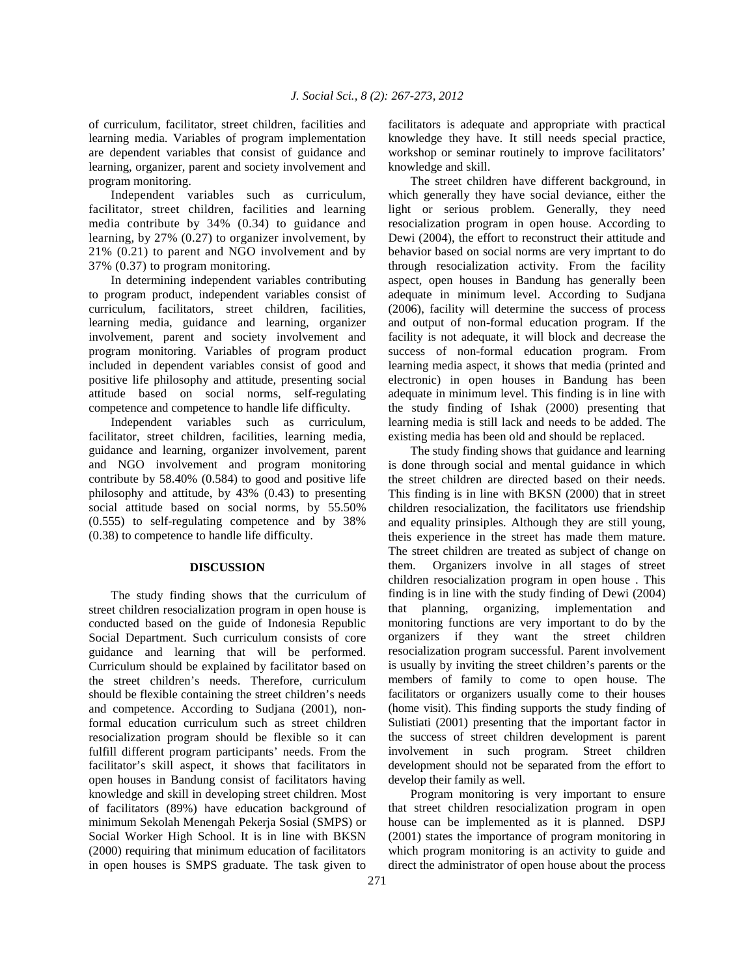of curriculum, facilitator, street children, facilities and learning media. Variables of program implementation are dependent variables that consist of guidance and learning, organizer, parent and society involvement and program monitoring.

 Independent variables such as curriculum, facilitator, street children, facilities and learning media contribute by 34% (0.34) to guidance and learning, by 27% (0.27) to organizer involvement, by 21% (0.21) to parent and NGO involvement and by 37% (0.37) to program monitoring.

 In determining independent variables contributing to program product, independent variables consist of curriculum, facilitators, street children, facilities, learning media, guidance and learning, organizer involvement, parent and society involvement and program monitoring. Variables of program product included in dependent variables consist of good and positive life philosophy and attitude, presenting social attitude based on social norms, self-regulating competence and competence to handle life difficulty.

 Independent variables such as curriculum, facilitator, street children, facilities, learning media, guidance and learning, organizer involvement, parent and NGO involvement and program monitoring contribute by 58.40% (0.584) to good and positive life philosophy and attitude, by 43% (0.43) to presenting social attitude based on social norms, by 55.50% (0.555) to self-regulating competence and by 38% (0.38) to competence to handle life difficulty.

#### **DISCUSSION**

 The study finding shows that the curriculum of street children resocialization program in open house is conducted based on the guide of Indonesia Republic Social Department. Such curriculum consists of core guidance and learning that will be performed. Curriculum should be explained by facilitator based on the street children's needs. Therefore, curriculum should be flexible containing the street children's needs and competence. According to Sudjana (2001), nonformal education curriculum such as street children resocialization program should be flexible so it can fulfill different program participants' needs. From the facilitator's skill aspect, it shows that facilitators in open houses in Bandung consist of facilitators having knowledge and skill in developing street children. Most of facilitators (89%) have education background of minimum Sekolah Menengah Pekerja Sosial (SMPS) or Social Worker High School. It is in line with BKSN (2000) requiring that minimum education of facilitators in open houses is SMPS graduate. The task given to facilitators is adequate and appropriate with practical knowledge they have. It still needs special practice, workshop or seminar routinely to improve facilitators' knowledge and skill.

 The street children have different background, in which generally they have social deviance, either the light or serious problem. Generally, they need resocialization program in open house. According to Dewi (2004), the effort to reconstruct their attitude and behavior based on social norms are very imprtant to do through resocialization activity. From the facility aspect, open houses in Bandung has generally been adequate in minimum level. According to Sudjana (2006), facility will determine the success of process and output of non-formal education program. If the facility is not adequate, it will block and decrease the success of non-formal education program. From learning media aspect, it shows that media (printed and electronic) in open houses in Bandung has been adequate in minimum level. This finding is in line with the study finding of Ishak (2000) presenting that learning media is still lack and needs to be added. The existing media has been old and should be replaced.

 The study finding shows that guidance and learning is done through social and mental guidance in which the street children are directed based on their needs. This finding is in line with BKSN (2000) that in street children resocialization, the facilitators use friendship and equality prinsiples. Although they are still young, theis experience in the street has made them mature. The street children are treated as subject of change on them. Organizers involve in all stages of street children resocialization program in open house . This finding is in line with the study finding of Dewi (2004) that planning, organizing, implementation and monitoring functions are very important to do by the organizers if they want the street children resocialization program successful. Parent involvement is usually by inviting the street children's parents or the members of family to come to open house. The facilitators or organizers usually come to their houses (home visit). This finding supports the study finding of Sulistiati (2001) presenting that the important factor in the success of street children development is parent involvement in such program. Street children development should not be separated from the effort to develop their family as well.

 Program monitoring is very important to ensure that street children resocialization program in open house can be implemented as it is planned. DSPJ (2001) states the importance of program monitoring in which program monitoring is an activity to guide and direct the administrator of open house about the process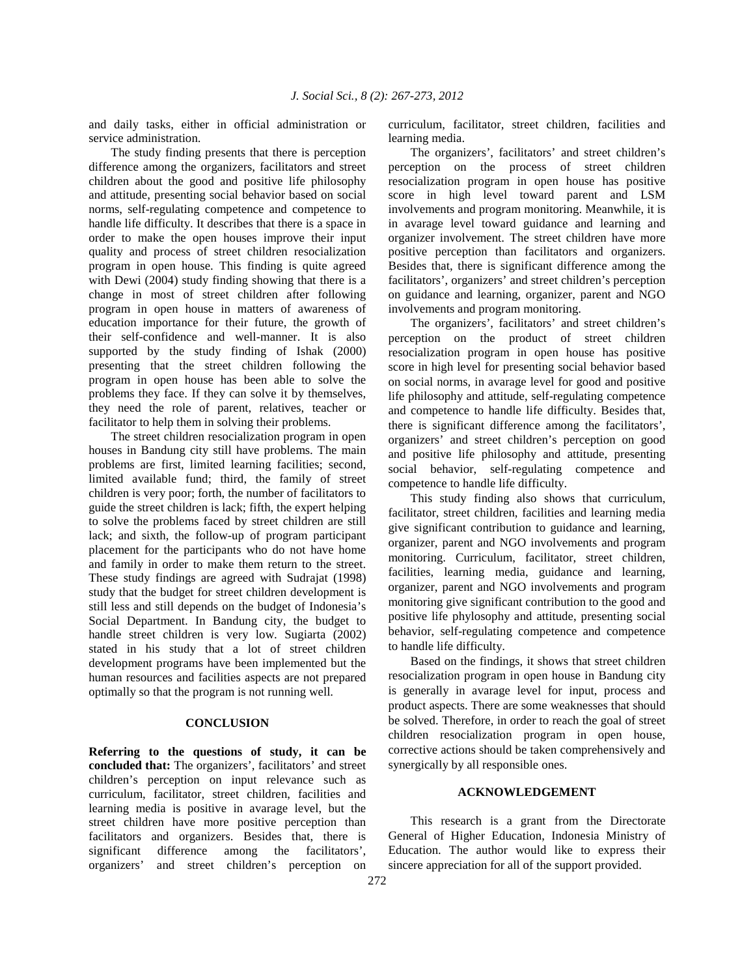and daily tasks, either in official administration or service administration.

 The study finding presents that there is perception difference among the organizers, facilitators and street children about the good and positive life philosophy and attitude, presenting social behavior based on social norms, self-regulating competence and competence to handle life difficulty. It describes that there is a space in order to make the open houses improve their input quality and process of street children resocialization program in open house. This finding is quite agreed with Dewi (2004) study finding showing that there is a change in most of street children after following program in open house in matters of awareness of education importance for their future, the growth of their self-confidence and well-manner. It is also supported by the study finding of Ishak (2000) presenting that the street children following the program in open house has been able to solve the problems they face. If they can solve it by themselves, they need the role of parent, relatives, teacher or facilitator to help them in solving their problems.

 The street children resocialization program in open houses in Bandung city still have problems. The main problems are first, limited learning facilities; second, limited available fund; third, the family of street children is very poor; forth, the number of facilitators to guide the street children is lack; fifth, the expert helping to solve the problems faced by street children are still lack; and sixth, the follow-up of program participant placement for the participants who do not have home and family in order to make them return to the street. These study findings are agreed with Sudrajat (1998) study that the budget for street children development is still less and still depends on the budget of Indonesia's Social Department. In Bandung city, the budget to handle street children is very low. Sugiarta (2002) stated in his study that a lot of street children development programs have been implemented but the human resources and facilities aspects are not prepared optimally so that the program is not running well.

## **CONCLUSION**

**Referring to the questions of study, it can be concluded that:** The organizers', facilitators' and street children's perception on input relevance such as curriculum, facilitator, street children, facilities and learning media is positive in avarage level, but the street children have more positive perception than facilitators and organizers. Besides that, there is significant difference among the facilitators', organizers' and street children's perception on curriculum, facilitator, street children, facilities and learning media.

 The organizers', facilitators' and street children's perception on the process of street children resocialization program in open house has positive score in high level toward parent and LSM involvements and program monitoring. Meanwhile, it is in avarage level toward guidance and learning and organizer involvement. The street children have more positive perception than facilitators and organizers. Besides that, there is significant difference among the facilitators', organizers' and street children's perception on guidance and learning, organizer, parent and NGO involvements and program monitoring.

 The organizers', facilitators' and street children's perception on the product of street children resocialization program in open house has positive score in high level for presenting social behavior based on social norms, in avarage level for good and positive life philosophy and attitude, self-regulating competence and competence to handle life difficulty. Besides that, there is significant difference among the facilitators', organizers' and street children's perception on good and positive life philosophy and attitude, presenting social behavior, self-regulating competence and competence to handle life difficulty.

 This study finding also shows that curriculum, facilitator, street children, facilities and learning media give significant contribution to guidance and learning, organizer, parent and NGO involvements and program monitoring. Curriculum, facilitator, street children, facilities, learning media, guidance and learning, organizer, parent and NGO involvements and program monitoring give significant contribution to the good and positive life phylosophy and attitude, presenting social behavior, self-regulating competence and competence to handle life difficulty.

 Based on the findings, it shows that street children resocialization program in open house in Bandung city is generally in avarage level for input, process and product aspects. There are some weaknesses that should be solved. Therefore, in order to reach the goal of street children resocialization program in open house, corrective actions should be taken comprehensively and synergically by all responsible ones.

## **ACKNOWLEDGEMENT**

 This research is a grant from the Directorate General of Higher Education, Indonesia Ministry of Education. The author would like to express their sincere appreciation for all of the support provided.